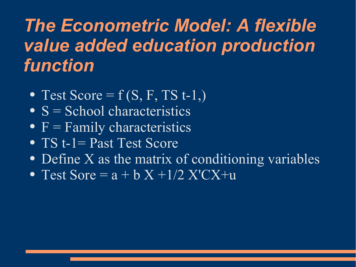# *The Econometric Model: A flexible value added education production function*

- Test Score =  $f(S, F, TS t-1)$ ,
- $\overline{\mathbf{S}}$  = School characteristics
- $F =$  Family characteristics
- TS t-1= Past Test Score
- Define X as the matrix of conditioning variables
- Test Sore =  $a + bX + 1/2X'CX + u$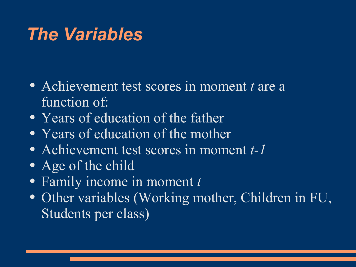## *The Variables*

- Achievement test scores in moment *t* are a function of:
- Years of education of the father
- Years of education of the mother
- Achievement test scores in moment *t-1*
- Age of the child
- Family income in moment *t*
- Other variables (Working mother, Children in FU, Students per class)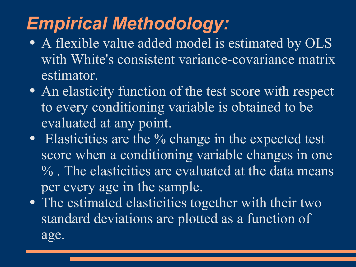# *Empirical Methodology:*

- A flexible value added model is estimated by OLS with White's consistent variance-covariance matrix estimator.
- An elasticity function of the test score with respect to every conditioning variable is obtained to be evaluated at any point.
- Elasticities are the % change in the expected test score when a conditioning variable changes in one % . The elasticities are evaluated at the data means per every age in the sample.
- The estimated elasticities together with their two standard deviations are plotted as a function of age.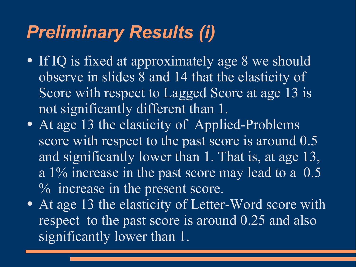## *Preliminary Results (i)*

- If IQ is fixed at approximately age 8 we should observe in slides 8 and 14 that the elasticity of Score with respect to Lagged Score at age 13 is not significantly different than 1.
- At age 13 the elasticity of Applied-Problems score with respect to the past score is around 0.5 and significantly lower than 1. That is, at age 13, a 1% increase in the past score may lead to a 0.5 % increase in the present score.
- At age 13 the elasticity of Letter-Word score with respect to the past score is around 0.25 and also significantly lower than 1.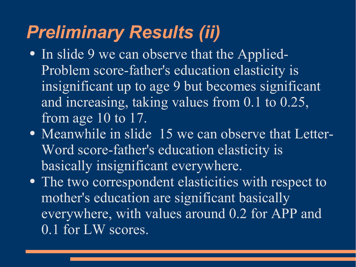# *Preliminary Results (ii)*

- In slide 9 we can observe that the Applied-Problem score-father's education elasticity is insignificant up to age 9 but becomes significant and increasing, taking values from 0.1 to 0.25, from age 10 to 17.
- Meanwhile in slide 15 we can observe that Letter-Word score-father's education elasticity is basically insignificant everywhere.
- The two correspondent elasticities with respect to mother's education are significant basically everywhere, with values around 0.2 for APP and 0.1 for LW scores.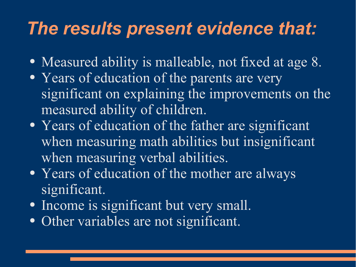## *The results present evidence that:*

- Measured ability is malleable, not fixed at age 8.
- Years of education of the parents are very significant on explaining the improvements on the measured ability of children.
- Years of education of the father are significant when measuring math abilities but insignificant when measuring verbal abilities.
- Years of education of the mother are always significant.
- Income is significant but very small.
- Other variables are not significant.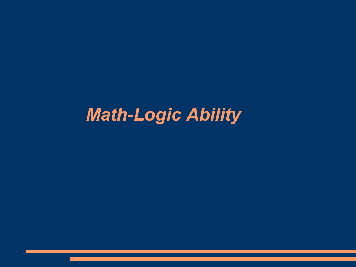# *Math-Logic Ability*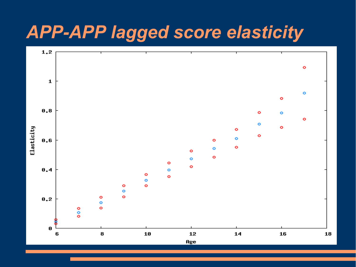#### *APP-APP lagged score elasticity*

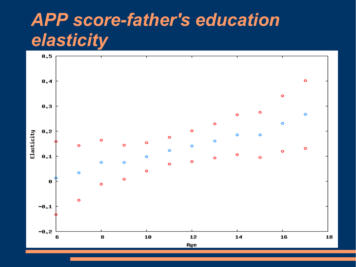# *APP score-father's education elasticity*

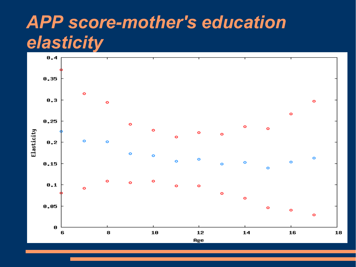## *APP score-mother's education elasticity*

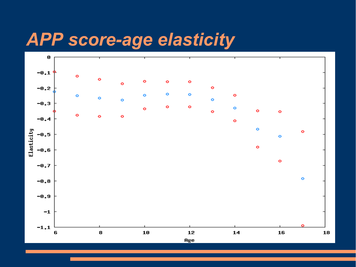#### *APP score-age elasticity*

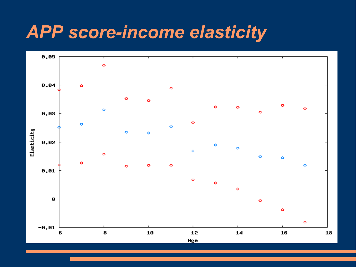#### *APP score-income elasticity*

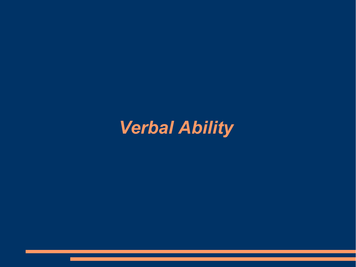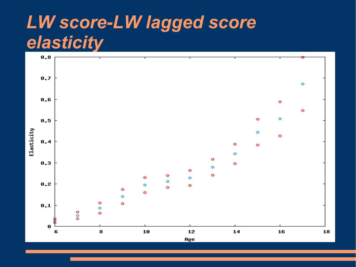## *LW score-LW lagged score elasticity*

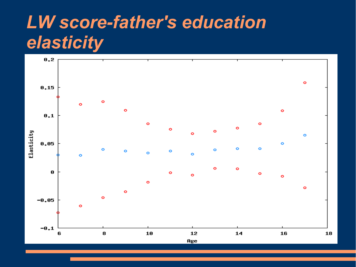## *LW score-father's education elasticity*

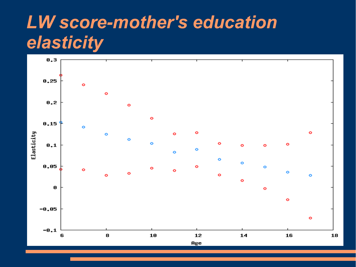## *LW score-mother's education elasticity*

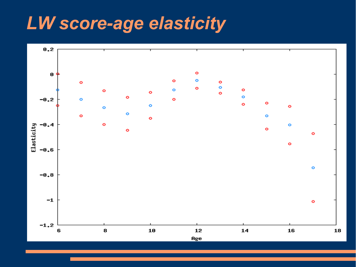#### *LW score-age elasticity*

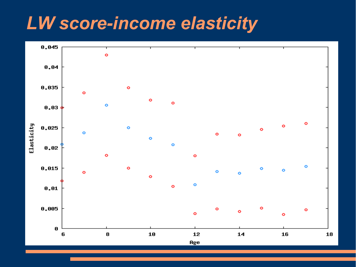#### *LW score-income elasticity*

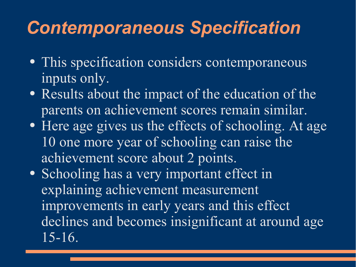## *Contemporaneous Specification*

- This specification considers contemporaneous inputs only.
- Results about the impact of the education of the parents on achievement scores remain similar.
- Here age gives us the effects of schooling. At age 10 one more year of schooling can raise the achievement score about 2 points.
- Schooling has a very important effect in explaining achievement measurement improvements in early years and this effect declines and becomes insignificant at around age 15-16.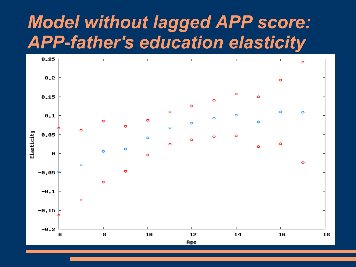#### *Model without lagged APP score: APP-father's education elasticity*

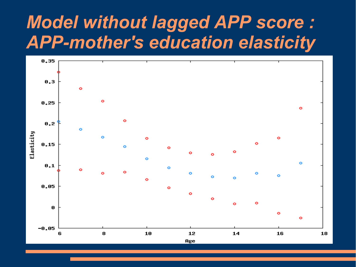#### *Model without lagged APP score : APP-mother's education elasticity*

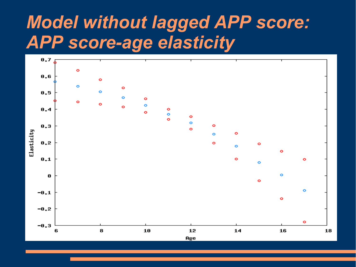## *Model without lagged APP score: APP score-age elasticity*

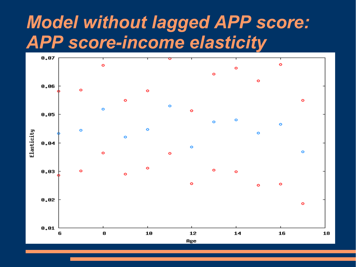#### *Model without lagged APP score: APP score-income elasticity*